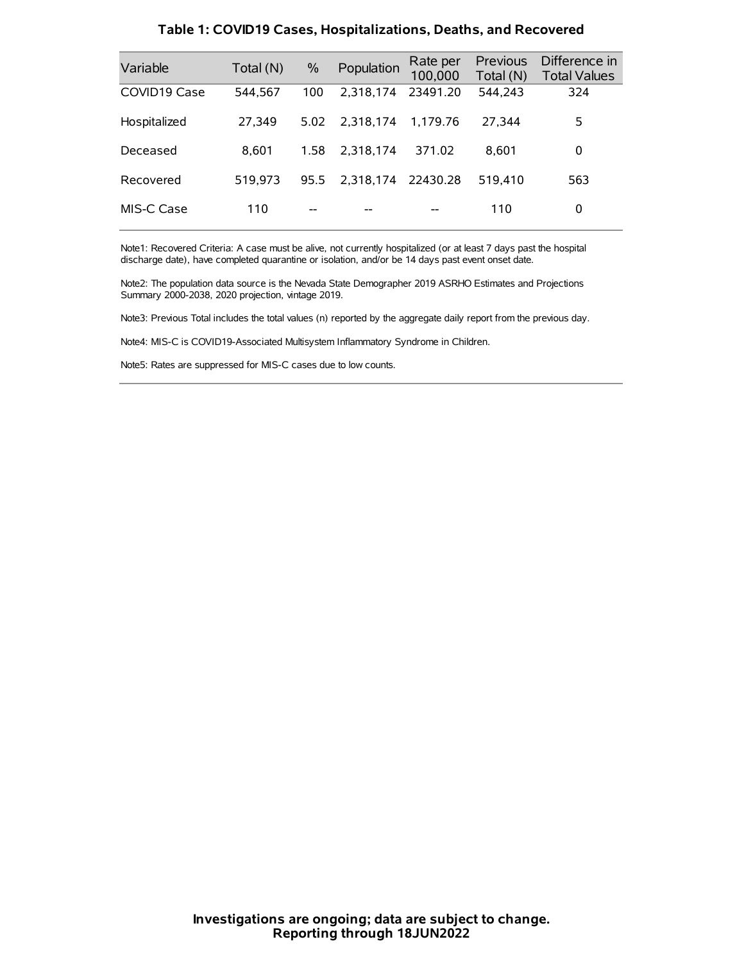| Variable     | Total (N) | $\%$ | Population | Rate per<br>100,000 | Previous<br>Total (N) | Difference in<br><b>Total Values</b> |
|--------------|-----------|------|------------|---------------------|-----------------------|--------------------------------------|
| COVID19 Case | 544,567   | 100  | 2.318.174  | 23491.20            | 544,243               | 324                                  |
| Hospitalized | 27,349    | 5.02 | 2.318.174  | 1.179.76            | 27.344                | 5                                    |
| Deceased     | 8.601     | 1.58 | 2.318.174  | 371.02              | 8.601                 | 0                                    |
| Recovered    | 519.973   | 95.5 | 2,318,174  | 22430.28            | 519.410               | 563                                  |
| MIS-C Case   | 110       | --   |            |                     | 110                   | 0                                    |

#### **Table 1: COVID19 Cases, Hospitalizations, Deaths, and Recovered**

Note1: Recovered Criteria: A case must be alive, not currently hospitalized (or at least 7 days past the hospital discharge date), have completed quarantine or isolation, and/or be 14 days past event onset date.

Note2: The population data source is the Nevada State Demographer 2019 ASRHO Estimates and Projections Summary 2000-2038, 2020 projection, vintage 2019.

Note3: Previous Total includes the total values (n) reported by the aggregate daily report from the previous day.

Note4: MIS-C is COVID19-Associated Multisystem Inflammatory Syndrome in Children.

Note5: Rates are suppressed for MIS-C cases due to low counts.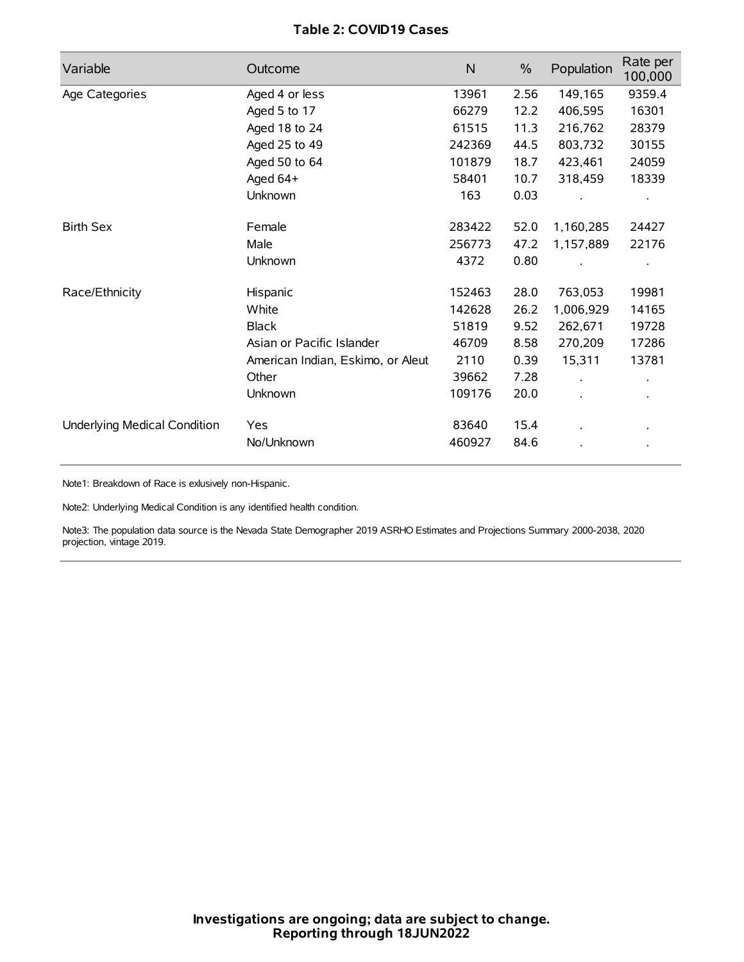## **Table 2: COVID19 Cases**

| Variable                     | Outcome                           | $\mathsf{N}$ | $\%$ | Population | Rate per<br>100,000 |
|------------------------------|-----------------------------------|--------------|------|------------|---------------------|
| Age Categories               | Aged 4 or less                    | 13961        | 2.56 | 149,165    | 9359.4              |
|                              | Aged 5 to 17                      | 66279        | 12.2 | 406,595    | 16301               |
|                              | Aged 18 to 24                     | 61515        | 11.3 | 216,762    | 28379               |
|                              | Aged 25 to 49                     | 242369       | 44.5 | 803,732    | 30155               |
|                              | Aged 50 to 64                     | 101879       | 18.7 | 423,461    | 24059               |
|                              | Aged 64+                          | 58401        | 10.7 | 318,459    | 18339               |
|                              | Unknown                           | 163          | 0.03 |            |                     |
| <b>Birth Sex</b>             | Female                            | 283422       | 52.0 | 1,160,285  | 24427               |
|                              | Male                              | 256773       | 47.2 | 1,157,889  | 22176               |
|                              | Unknown                           | 4372         | 0.80 |            |                     |
| Race/Ethnicity               | Hispanic                          | 152463       | 28.0 | 763,053    | 19981               |
|                              | White                             | 142628       | 26.2 | 1,006,929  | 14165               |
|                              | <b>Black</b>                      | 51819        | 9.52 | 262,671    | 19728               |
|                              | Asian or Pacific Islander         | 46709        | 8.58 | 270,209    | 17286               |
|                              | American Indian, Eskimo, or Aleut | 2110         | 0.39 | 15,311     | 13781               |
|                              | Other                             | 39662        | 7.28 |            |                     |
|                              | Unknown                           | 109176       | 20.0 |            |                     |
| Underlying Medical Condition | Yes                               | 83640        | 15.4 |            |                     |
|                              | No/Unknown                        | 460927       | 84.6 |            |                     |

Note1: Breakdown of Race is exlusively non-Hispanic.

Note2: Underlying Medical Condition is any identified health condition.

Note3: The population data source is the Nevada State Demographer 2019 ASRHO Estimates and Projections Summary 2000-2038, 2020 projection, vintage 2019.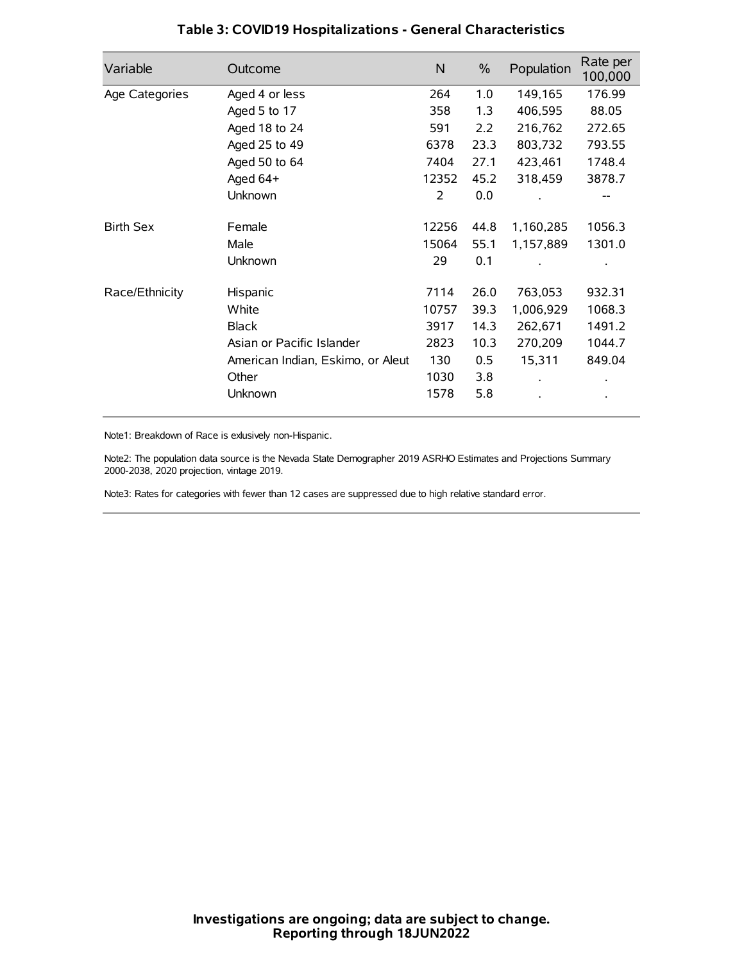| Variable         | Outcome                           | $\mathsf{N}$ | $\%$ | Population | Rate per<br>100,000 |
|------------------|-----------------------------------|--------------|------|------------|---------------------|
| Age Categories   | Aged 4 or less                    | 264          | 1.0  | 149,165    | 176.99              |
|                  | Aged 5 to 17                      | 358          | 1.3  | 406,595    | 88.05               |
|                  | Aged 18 to 24                     | 591          | 2.2  | 216,762    | 272.65              |
|                  | Aged 25 to 49                     | 6378         | 23.3 | 803,732    | 793.55              |
|                  | Aged 50 to 64                     | 7404         | 27.1 | 423,461    | 1748.4              |
|                  | Aged 64+                          | 12352        | 45.2 | 318,459    | 3878.7              |
|                  | Unknown                           | 2            | 0.0  |            |                     |
| <b>Birth Sex</b> | Female                            | 12256        | 44.8 | 1,160,285  | 1056.3              |
|                  | Male                              | 15064        | 55.1 | 1,157,889  | 1301.0              |
|                  | Unknown                           | 29           | 0.1  |            |                     |
| Race/Ethnicity   | Hispanic                          | 7114         | 26.0 | 763,053    | 932.31              |
|                  | White                             | 10757        | 39.3 | 1,006,929  | 1068.3              |
|                  | <b>Black</b>                      | 3917         | 14.3 | 262,671    | 1491.2              |
|                  | Asian or Pacific Islander         | 2823         | 10.3 | 270,209    | 1044.7              |
|                  | American Indian, Eskimo, or Aleut | 130          | 0.5  | 15,311     | 849.04              |
|                  | Other                             | 1030         | 3.8  |            |                     |
|                  | Unknown                           | 1578         | 5.8  |            |                     |

## **Table 3: COVID19 Hospitalizations - General Characteristics**

Note1: Breakdown of Race is exlusively non-Hispanic.

Note2: The population data source is the Nevada State Demographer 2019 ASRHO Estimates and Projections Summary 2000-2038, 2020 projection, vintage 2019.

Note3: Rates for categories with fewer than 12 cases are suppressed due to high relative standard error.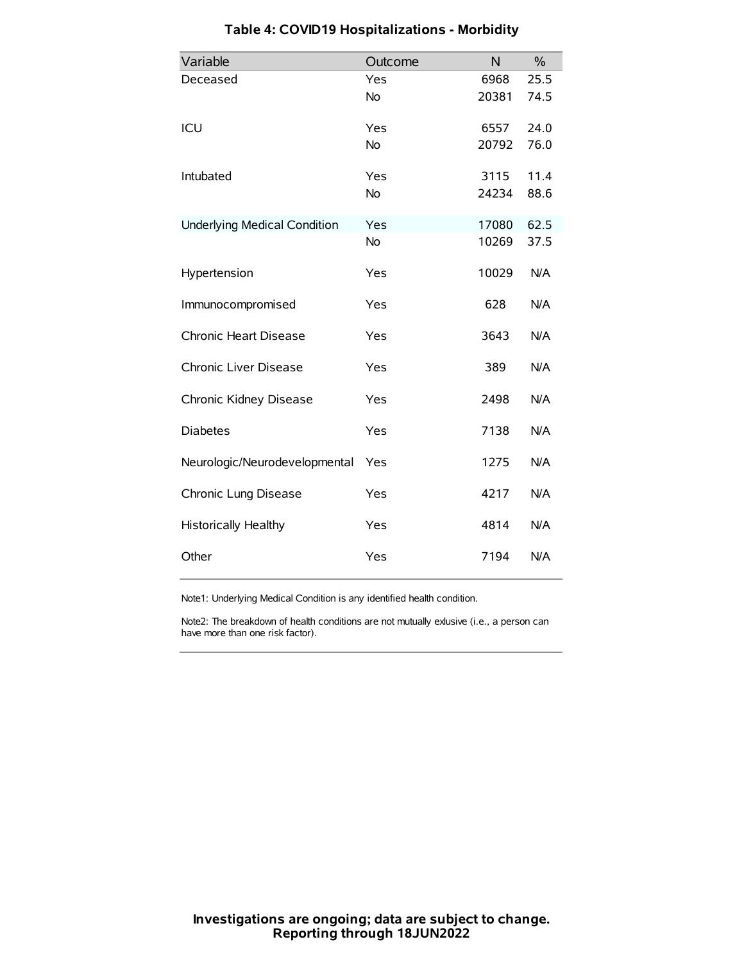| Variable                            | Outcome   | N     | $\frac{0}{0}$ |
|-------------------------------------|-----------|-------|---------------|
| Deceased                            | Yes       | 6968  | 25.5          |
|                                     | No        | 20381 | 74.5          |
| ICU                                 | Yes       | 6557  | 24.0          |
|                                     | <b>No</b> | 20792 | 76.0          |
| Intubated                           | Yes       | 3115  | 11.4          |
|                                     | No        | 24234 | 88.6          |
| <b>Underlying Medical Condition</b> | Yes       | 17080 | 62.5          |
|                                     | No        | 10269 | 37.5          |
| Hypertension                        | Yes       | 10029 | N/A           |
| Immunocompromised                   | Yes       | 628   | N/A           |
| Chronic Heart Disease               | Yes       | 3643  | N/A           |
| Chronic Liver Disease               | Yes       | 389   | N/A           |
| Chronic Kidney Disease              | Yes       | 2498  | N/A           |
| <b>Diabetes</b>                     | Yes       | 7138  | N/A           |
| Neurologic/Neurodevelopmental       | Yes       | 1275  | N/A           |
| Chronic Lung Disease                | Yes       | 4217  | N/A           |
| <b>Historically Healthy</b>         | Yes       | 4814  | N/A           |
| Other                               | Yes       | 7194  | N/A           |

# **Table 4: COVID19 Hospitalizations - Morbidity**

Note1: Underlying Medical Condition is any identified health condition.

Note2: The breakdown of health conditions are not mutually exlusive (i.e., a person can have more than one risk factor).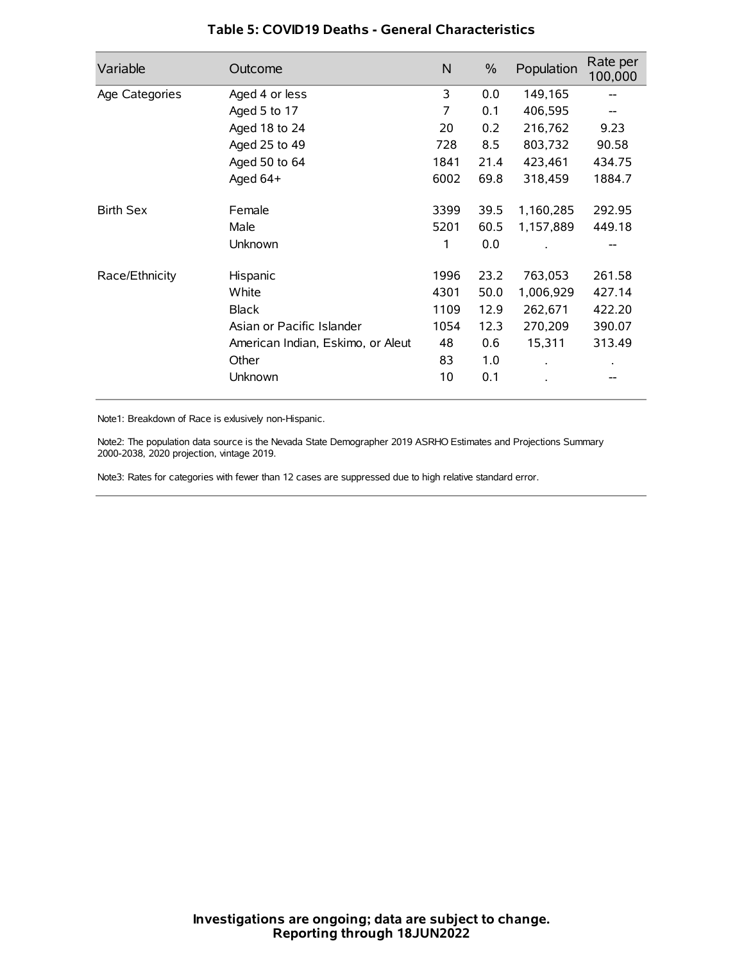| Variable         | Outcome                           | N    | $\frac{0}{0}$ | Population | Rate per<br>100,000 |
|------------------|-----------------------------------|------|---------------|------------|---------------------|
| Age Categories   | Aged 4 or less                    | 3    | 0.0           | 149,165    |                     |
|                  | Aged 5 to 17                      | 7    | 0.1           | 406,595    |                     |
|                  | Aged 18 to 24                     | 20   | 0.2           | 216,762    | 9.23                |
|                  | Aged 25 to 49                     | 728  | 8.5           | 803,732    | 90.58               |
|                  | Aged 50 to 64                     | 1841 | 21.4          | 423,461    | 434.75              |
|                  | Aged $64+$                        | 6002 | 69.8          | 318,459    | 1884.7              |
| <b>Birth Sex</b> | Female                            | 3399 | 39.5          | 1,160,285  | 292.95              |
|                  | Male                              | 5201 | 60.5          | 1,157,889  | 449.18              |
|                  | Unknown                           | 1    | 0.0           |            | --                  |
| Race/Ethnicity   | Hispanic                          | 1996 | 23.2          | 763,053    | 261.58              |
|                  | White                             | 4301 | 50.0          | 1,006,929  | 427.14              |
|                  | <b>Black</b>                      | 1109 | 12.9          | 262,671    | 422.20              |
|                  | Asian or Pacific Islander         | 1054 | 12.3          | 270,209    | 390.07              |
|                  | American Indian, Eskimo, or Aleut | 48   | 0.6           | 15,311     | 313.49              |
|                  | Other                             | 83   | 1.0           |            |                     |
|                  | Unknown                           | 10   | 0.1           |            |                     |

### **Table 5: COVID19 Deaths - General Characteristics**

Note1: Breakdown of Race is exlusively non-Hispanic.

Note2: The population data source is the Nevada State Demographer 2019 ASRHO Estimates and Projections Summary 2000-2038, 2020 projection, vintage 2019.

Note3: Rates for categories with fewer than 12 cases are suppressed due to high relative standard error.